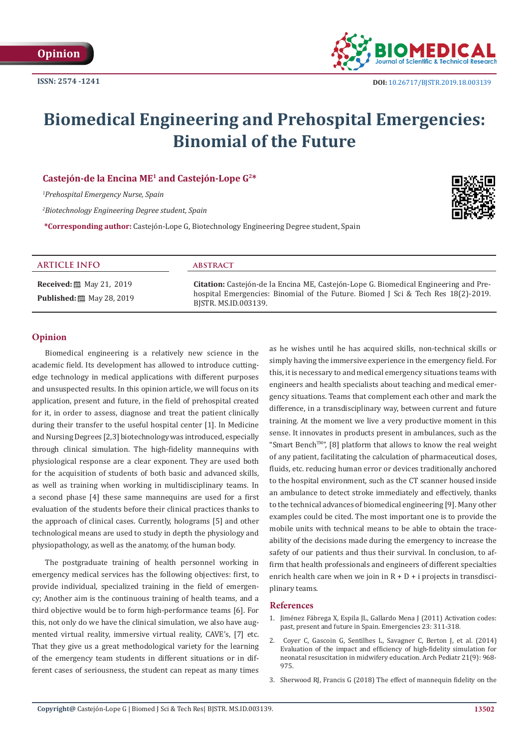

# **Biomedical Engineering and Prehospital Emergencies: Binomial of the Future**

# **Castejón-de la Encina ME1 and Castejón-Lope G2\***

*1 Prehospital Emergency Nurse, Spain*

*2 Biotechnology Engineering Degree student, Spain*

**\*Corresponding author:** Castejón-Lope G, Biotechnology Engineering Degree student, Spain

#### **ARTICLE INFO abstract**

**Received:** 圖 May 21, 2019 **Published:** 圖 May 28, 2019

**Citation:** Castejón-de la Encina ME, Castejón-Lope G. Biomedical Engineering and Prehospital Emergencies: Binomial of the Future. Biomed J Sci & Tech Res 18(2)-2019. BJSTR. MS.ID.003139.

# **Opinion**

Biomedical engineering is a relatively new science in the academic field. Its development has allowed to introduce cuttingedge technology in medical applications with different purposes and unsuspected results. In this opinion article, we will focus on its application, present and future, in the field of prehospital created for it, in order to assess, diagnose and treat the patient clinically during their transfer to the useful hospital center [1]. In Medicine and Nursing Degrees [2,3] biotechnology was introduced, especially through clinical simulation. The high-fidelity mannequins with physiological response are a clear exponent. They are used both for the acquisition of students of both basic and advanced skills, as well as training when working in multidisciplinary teams. In a second phase [4] these same mannequins are used for a first evaluation of the students before their clinical practices thanks to the approach of clinical cases. Currently, holograms [5] and other technological means are used to study in depth the physiology and physiopathology, as well as the anatomy, of the human body.

The postgraduate training of health personnel working in emergency medical services has the following objectives: first, to provide individual, specialized training in the field of emergency; Another aim is the continuous training of health teams, and a third objective would be to form high-performance teams [6]. For this, not only do we have the clinical simulation, we also have augmented virtual reality, immersive virtual reality, CAVE's, [7] etc. That they give us a great methodological variety for the learning of the emergency team students in different situations or in different cases of seriousness, the student can repeat as many times as he wishes until he has acquired skills, non-technical skills or simply having the immersive experience in the emergency field. For this, it is necessary to and medical emergency situations teams with engineers and health specialists about teaching and medical emergency situations. Teams that complement each other and mark the difference, in a transdisciplinary way, between current and future training. At the moment we live a very productive moment in this sense. It innovates in products present in ambulances, such as the "Smart BenchTM", [8] platform that allows to know the real weight of any patient, facilitating the calculation of pharmaceutical doses, fluids, etc. reducing human error or devices traditionally anchored to the hospital environment, such as the CT scanner housed inside an ambulance to detect stroke immediately and effectively, thanks to the technical advances of biomedical engineering [9]. Many other examples could be cited. The most important one is to provide the mobile units with technical means to be able to obtain the traceability of the decisions made during the emergency to increase the safety of our patients and thus their survival. In conclusion, to affirm that health professionals and engineers of different specialties enrich health care when we join in  $R + D + i$  projects in transdisciplinary teams.

## **References**

- 1. Jiménez Fábrega X, Espila JL, Gallardo Mena J (2011) Activation codes: past, present and future in Spain. Emergencies 23: 311-318.
- 2. [Coyer C, Gascoin G, Sentilhes L, Savagner C, Berton J, et al. \(2014\)](https://www.ncbi.nlm.nih.gov/pubmed/25048648) [Evaluation of the impact and efficiency of high-fidelity simulation for](https://www.ncbi.nlm.nih.gov/pubmed/25048648) [neonatal resuscitation in midwifery education. Arch Pediatr 21\(9\): 968-](https://www.ncbi.nlm.nih.gov/pubmed/25048648) [975.](https://www.ncbi.nlm.nih.gov/pubmed/25048648)
- 3. [Sherwood RJ, Francis G \(2018\) The effect of mannequin fidelity on the](https://www.ncbi.nlm.nih.gov/pubmed/30015220)